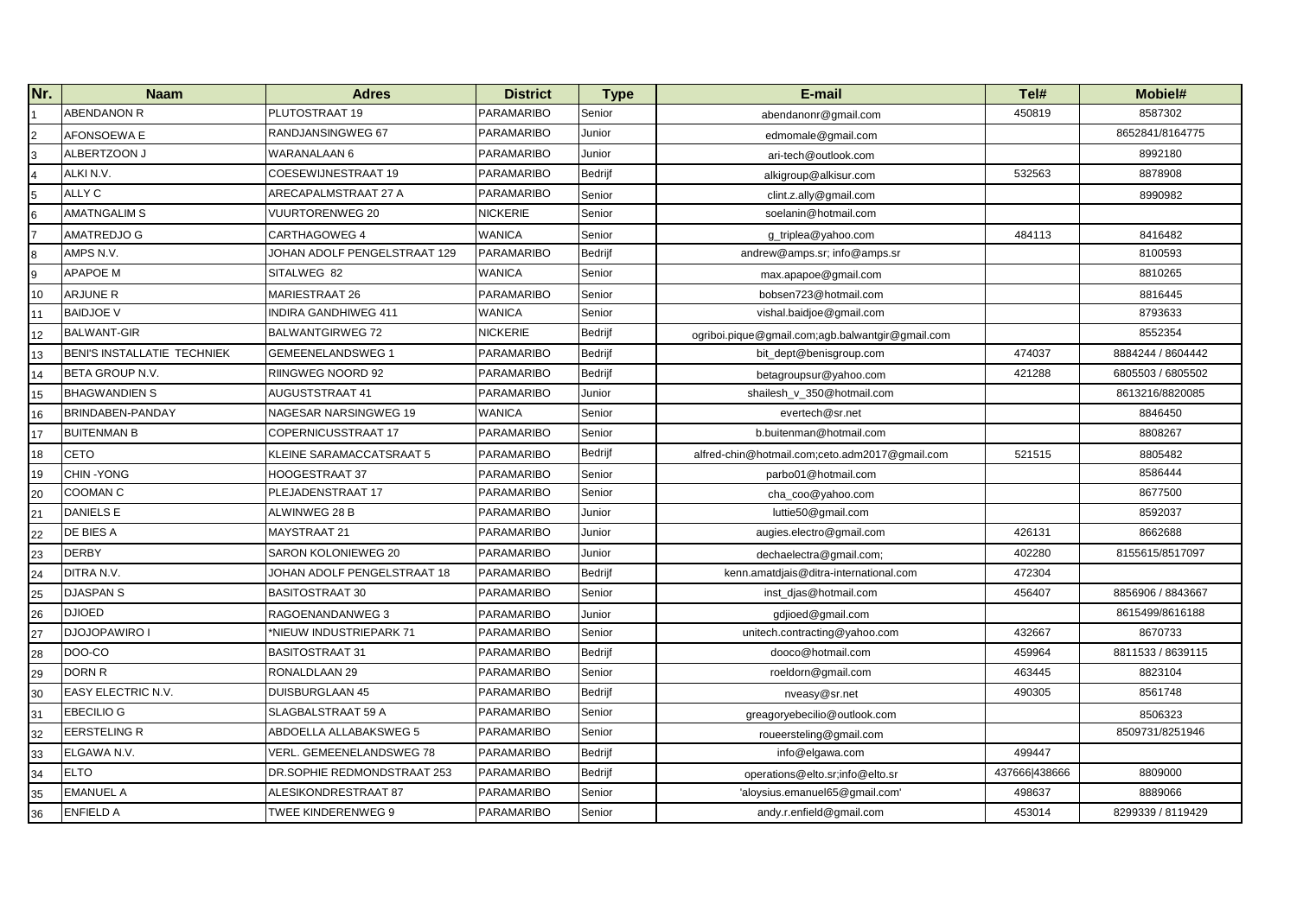| Nr.            | <b>Naam</b>                 | <b>Adres</b>                 | <b>District</b>   | <b>Type</b>    | E-mail                                           | Tel#          | Mobiel#           |
|----------------|-----------------------------|------------------------------|-------------------|----------------|--------------------------------------------------|---------------|-------------------|
|                | <b>ABENDANON R</b>          | PLUTOSTRAAT 19               | PARAMARIBO        | Senior         | abendanonr@gmail.com                             | 450819        | 8587302           |
| $\overline{a}$ | AFONSOEWA E                 | RANDJANSINGWEG 67            | <b>PARAMARIBO</b> | Junior         | edmomale@gmail.com                               |               | 8652841/8164775   |
| $\mathbf{3}$   | ALBERTZOON J                | WARANALAAN 6                 | <b>PARAMARIBO</b> | Junior         | ari-tech@outlook.com                             |               | 8992180           |
| $\overline{a}$ | ALKI N.V.                   | COESEWIJNESTRAAT 19          | <b>PARAMARIBO</b> | Bedrijf        | alkigroup@alkisur.com                            | 532563        | 8878908           |
| 5              | ALLY C                      | ARECAPALMSTRAAT 27 A         | <b>PARAMARIBO</b> | Senior         | clint.z.ally@gmail.com                           |               | 8990982           |
| 6              | <b>AMATNGALIM S</b>         | <b>VUURTORENWEG 20</b>       | <b>NICKERIE</b>   | Senior         | soelanin@hotmail.com                             |               |                   |
| 7              | <b>AMATREDJO G</b>          | CARTHAGOWEG 4                | <b>WANICA</b>     | Senior         | q triplea@yahoo.com                              | 484113        | 8416482           |
| $\bf8$         | AMPS N.V.                   | JOHAN ADOLF PENGELSTRAAT 129 | <b>PARAMARIBO</b> | Bedrijf        | andrew@amps.sr; info@amps.sr                     |               | 8100593           |
| 9              | APAPOE M                    | SITALWEG 82                  | <b>WANICA</b>     | Senior         | max.apapoe@gmail.com                             |               | 8810265           |
| 10             | <b>ARJUNE R</b>             | <b>MARIESTRAAT 26</b>        | <b>PARAMARIBO</b> | Senior         | bobsen723@hotmail.com                            |               | 8816445           |
| 11             | <b>BAIDJOE V</b>            | INDIRA GANDHIWEG 411         | <b>WANICA</b>     | Senior         | vishal.baidjoe@gmail.com                         |               | 8793633           |
| 12             | <b>BALWANT-GIR</b>          | BALWANTGIRWEG 72             | <b>NICKERIE</b>   | <b>Bedrijf</b> | ogriboi.pique@gmail.com;agb.balwantgir@gmail.com |               | 8552354           |
| 13             | BENI'S INSTALLATIE TECHNIEK | <b>GEMEENELANDSWEG 1</b>     | <b>PARAMARIBO</b> | Bedrijf        | bit_dept@benisgroup.com                          | 474037        | 8884244 / 8604442 |
| 14             | BETA GROUP N.V.             | RIINGWEG NOORD 92            | <b>PARAMARIBO</b> | Bedrijf        | betagroupsur@yahoo.com                           | 421288        | 6805503 / 6805502 |
| 15             | <b>BHAGWANDIEN S</b>        | <b>AUGUSTSTRAAT 41</b>       | <b>PARAMARIBO</b> | Junior         | shailesh_v_350@hotmail.com                       |               | 8613216/8820085   |
| 16             | BRINDABEN-PANDAY            | NAGESAR NARSINGWEG 19        | <b>WANICA</b>     | Senior         | evertech@sr.net                                  |               | 8846450           |
| 17             | <b>BUITENMAN B</b>          | COPERNICUSSTRAAT 17          | <b>PARAMARIBO</b> | Senior         | b.buitenman@hotmail.com                          |               | 8808267           |
| 18             | <b>CETO</b>                 | KLEINE SARAMACCATSRAAT 5     | <b>PARAMARIBO</b> | Bedrijf        | alfred-chin@hotmail.com;ceto.adm2017@gmail.com   | 521515        | 8805482           |
| 19             | CHIN-YONG                   | <b>HOOGESTRAAT 37</b>        | <b>PARAMARIBO</b> | Senior         | parbo01@hotmail.com                              |               | 8586444           |
| 20             | <b>COOMAN C</b>             | PLEJADENSTRAAT 17            | <b>PARAMARIBO</b> | Senior         | cha_coo@yahoo.com                                |               | 8677500           |
| 21             | <b>DANIELS E</b>            | ALWINWEG 28 B                | <b>PARAMARIBO</b> | Junior         | luttie50@gmail.com                               |               | 8592037           |
| 22             | DE BIES A                   | <b>MAYSTRAAT 21</b>          | <b>PARAMARIBO</b> | Junior         | augies.electro@gmail.com                         | 426131        | 8662688           |
| 23             | <b>DERBY</b>                | SARON KOLONIEWEG 20          | <b>PARAMARIBO</b> | Junior         | dechaelectra@gmail.com;                          | 402280        | 8155615/8517097   |
| 24             | DITRA N.V.                  | JOHAN ADOLF PENGELSTRAAT 18  | <b>PARAMARIBO</b> | Bedrijf        | kenn.amatdjais@ditra-international.com           | 472304        |                   |
| 25             | <b>DJASPAN S</b>            | BASITOSTRAAT 30              | <b>PARAMARIBO</b> | Senior         | inst_djas@hotmail.com                            | 456407        | 8856906 / 8843667 |
| 26             | <b>DJIOED</b>               | RAGOENANDANWEG 3             | <b>PARAMARIBO</b> | Junior         | gdjioed@gmail.com                                |               | 8615499/8616188   |
| 27             | <b>DJOJOPAWIRO I</b>        | *NIEUW INDUSTRIEPARK 71      | <b>PARAMARIBO</b> | Senior         | unitech.contracting@yahoo.com                    | 432667        | 8670733           |
| 28             | DOO-CO                      | <b>BASITOSTRAAT 31</b>       | <b>PARAMARIBO</b> | Bedrijf        | dooco@hotmail.com                                | 459964        | 8811533 / 8639115 |
| 29             | <b>DORN R</b>               | RONALDLAAN 29                | <b>PARAMARIBO</b> | Senior         | roeldorn@gmail.com                               | 463445        | 8823104           |
| 30             | <b>EASY ELECTRIC N.V.</b>   | DUISBURGLAAN 45              | <b>PARAMARIBO</b> | Bedrijf        | nveasy@sr.net                                    | 490305        | 8561748           |
| 31             | <b>EBECILIO G</b>           | SLAGBALSTRAAT 59 A           | <b>PARAMARIBO</b> | Senior         | greagoryebecilio@outlook.com                     |               | 8506323           |
| 32             | <b>EERSTELING R</b>         | ABDOELLA ALLABAKSWEG 5       | <b>PARAMARIBO</b> | Senior         | roueersteling@gmail.com                          |               | 8509731/8251946   |
| 33             | ELGAWA N.V.                 | VERL. GEMEENELANDSWEG 78     | <b>PARAMARIBO</b> | Bedrijf        | info@elgawa.com                                  | 499447        |                   |
| 34             | <b>ELTO</b>                 | DR.SOPHIE REDMONDSTRAAT 253  | <b>PARAMARIBO</b> | Bedrijf        | operations@elto.sr;info@elto.sr                  | 437666 438666 | 8809000           |
| 35             | <b>EMANUEL A</b>            | ALESIKONDRESTRAAT 87         | <b>PARAMARIBO</b> | Senior         | 'aloysius.emanuel65@gmail.com'                   | 498637        | 8889066           |
| 36             | <b>ENFIELD A</b>            | TWEE KINDERENWEG 9           | <b>PARAMARIBO</b> | Senior         | andy.r.enfield@gmail.com                         | 453014        | 8299339 / 8119429 |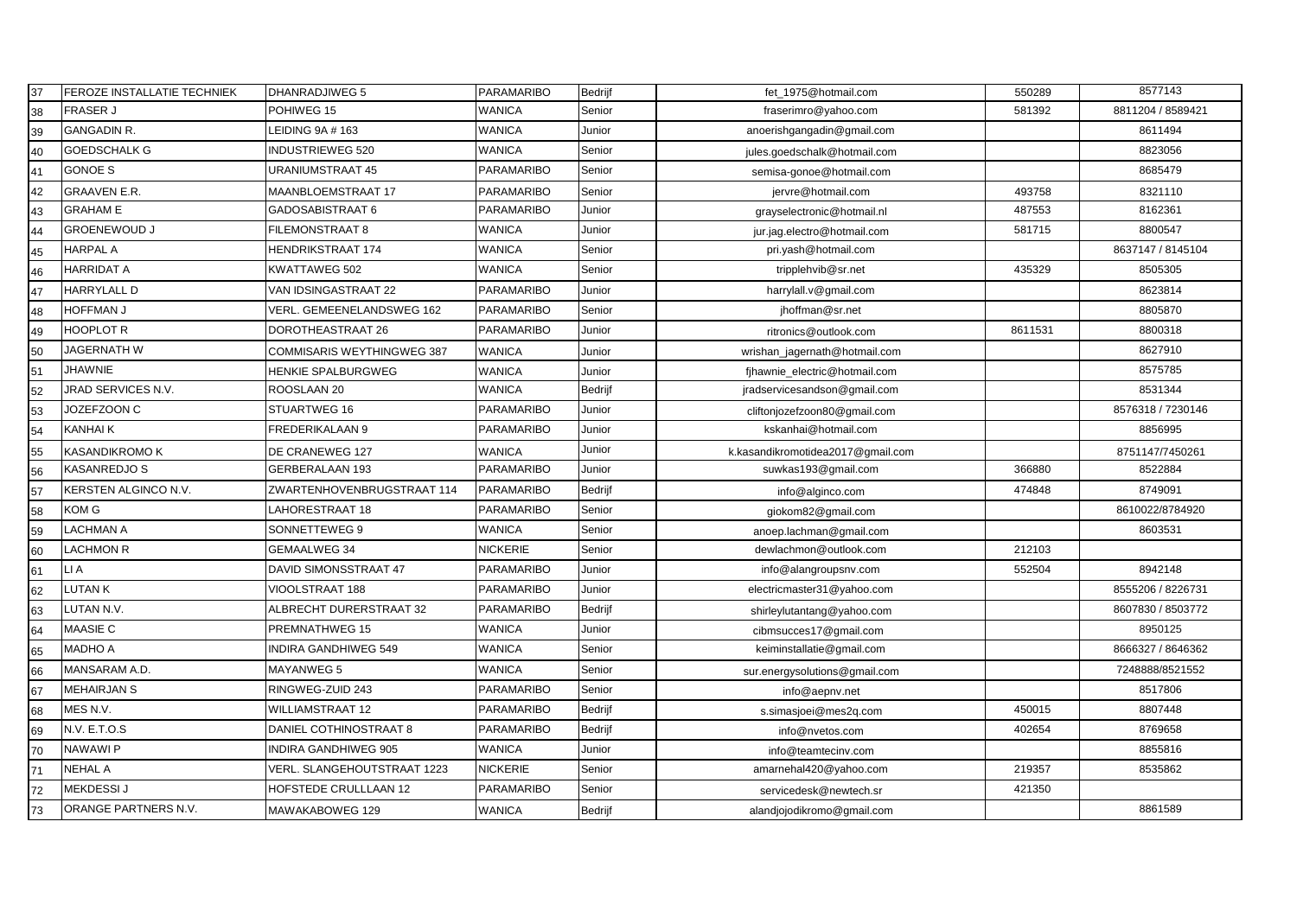| 37 | FEROZE INSTALLATIE TECHNIEK | <b>DHANRADJIWEG 5</b>        | PARAMARIBO        | Bedrijf        | fet_1975@hotmail.com              | 550289  | 8577143           |
|----|-----------------------------|------------------------------|-------------------|----------------|-----------------------------------|---------|-------------------|
| 38 | <b>FRASER J</b>             | POHIWEG 15                   | WANICA            | Senior         | fraserimro@yahoo.com              | 581392  | 8811204 / 8589421 |
| 39 | <b>GANGADIN R.</b>          | LEIDING 9A # 163             | WANICA            | Junior         | anoerishgangadin@gmail.com        |         | 8611494           |
| 40 | <b>GOEDSCHALK G</b>         | <b>INDUSTRIEWEG 520</b>      | WANICA            | Senior         | jules.goedschalk@hotmail.com      |         | 8823056           |
| 41 | <b>GONOE S</b>              | URANIUMSTRAAT 45             | <b>PARAMARIBO</b> | Senior         | semisa-gonoe@hotmail.com          |         | 8685479           |
| 42 | <b>GRAAVEN E.R.</b>         | MAANBLOEMSTRAAT 17           | PARAMARIBO        | Senior         | jervre@hotmail.com                | 493758  | 8321110           |
| 43 | <b>GRAHAM E</b>             | GADOSABISTRAAT 6             | PARAMARIBO        | Junior         | grayselectronic@hotmail.nl        | 487553  | 8162361           |
| 44 | <b>GROENEWOUD J</b>         | FILEMONSTRAAT 8              | WANICA            | Junior         | jur.jag.electro@hotmail.com       | 581715  | 8800547           |
| 45 | <b>HARPAL A</b>             | HENDRIKSTRAAT 174            | WANICA            | Senior         | pri.yash@hotmail.com              |         | 8637147 / 8145104 |
| 46 | <b>HARRIDAT A</b>           | KWATTAWEG 502                | WANICA            | Senior         | tripplehvib@sr.net                | 435329  | 8505305           |
| 47 | <b>HARRYLALL D</b>          | VAN IDSINGASTRAAT 22         | PARAMARIBO        | Junior         | harrylall.v@gmail.com             |         | 8623814           |
| 48 | <b>HOFFMAN J</b>            | VERL. GEMEENELANDSWEG 162    | PARAMARIBO        | Senior         | jhoffman@sr.net                   |         | 8805870           |
| 49 | <b>HOOPLOT R</b>            | DOROTHEASTRAAT 26            | PARAMARIBO        | Junior         | ritronics@outlook.com             | 8611531 | 8800318           |
| 50 | JAGERNATH W                 | COMMISARIS WEYTHINGWEG 387   | WANICA            | Junior         | wrishan_jagernath@hotmail.com     |         | 8627910           |
| 51 | <b>JHAWNIE</b>              | <b>HENKIE SPALBURGWEG</b>    | WANICA            | Junior         | fjhawnie_electric@hotmail.com     |         | 8575785           |
| 52 | JRAD SERVICES N.V.          | ROOSLAAN 20                  | WANICA            | <b>Bedrijf</b> | jradservicesandson@gmail.com      |         | 8531344           |
| 53 | JOZEFZOON C                 | STUARTWEG 16                 | PARAMARIBO        | Junior         | cliftonjozefzoon80@gmail.com      |         | 8576318 / 7230146 |
| 54 | <b>KANHAI K</b>             | FREDERIKALAAN 9              | PARAMARIBO        | Junior         | kskanhai@hotmail.com              |         | 8856995           |
| 55 | KASANDIKROMO K              | DE CRANEWEG 127              | WANICA            | Junior         | k.kasandikromotidea2017@gmail.com |         | 8751147/7450261   |
| 56 | KASANREDJO S                | GERBERALAAN 193              | PARAMARIBO        | Junior         | suwkas193@gmail.com               | 366880  | 8522884           |
| 57 | KERSTEN ALGINCO N.V.        | ZWARTENHOVENBRUGSTRAAT 114   | PARAMARIBO        | Bedrijf        | info@alginco.com                  | 474848  | 8749091           |
| 58 | KOM G                       | LAHORESTRAAT 18              | PARAMARIBO        | Senior         | giokom82@gmail.com                |         | 8610022/8784920   |
| 59 | LACHMAN A                   | SONNETTEWEG 9                | WANICA            | Senior         | anoep.lachman@gmail.com           |         | 8603531           |
| 60 | <b>LACHMON R</b>            | GEMAALWEG 34                 | NICKERIE          | Senior         | dewlachmon@outlook.com            | 212103  |                   |
| 61 | LI A                        | DAVID SIMONSSTRAAT 47        | PARAMARIBO        | Junior         | info@alangroupsnv.com             | 552504  | 8942148           |
| 62 | LUTAN K                     | VIOOLSTRAAT 188              | PARAMARIBO        | Junior         | electricmaster31@yahoo.com        |         | 8555206 / 8226731 |
| 63 | LUTAN N.V.                  | ALBRECHT DURERSTRAAT 32      | PARAMARIBO        | Bedrijf        | shirleylutantang@yahoo.com        |         | 8607830 / 8503772 |
| 64 | <b>MAASIE C</b>             | <b>PREMNATHWEG 15</b>        | WANICA            | Junior         | cibmsucces17@gmail.com            |         | 8950125           |
| 65 | <b>MADHO A</b>              | <b>INDIRA GANDHIWEG 549</b>  | WANICA            | Senior         | keiminstallatie@gmail.com         |         | 8666327 / 8646362 |
| 66 | MANSARAM A.D.               | MAYANWEG 5                   | WANICA            | Senior         | sur.energysolutions@gmail.com     |         | 7248888/8521552   |
| 67 | <b>MEHAIRJAN S</b>          | RINGWEG-ZUID 243             | PARAMARIBO        | Senior         | info@aepnv.net                    |         | 8517806           |
| 68 | MES N.V.                    | WILLIAMSTRAAT 12             | PARAMARIBO        | Bedrijf        | s.simasjoei@mes2q.com             | 450015  | 8807448           |
| 69 | N.V. E.T.O.S                | DANIEL COTHINOSTRAAT 8       | PARAMARIBO        | Bedrijf        | info@nvetos.com                   | 402654  | 8769658           |
| 70 | <b>NAWAWIP</b>              | <b>INDIRA GANDHIWEG 905</b>  | <b>WANICA</b>     | Junior         | info@teamtecinv.com               |         | 8855816           |
| 71 | <b>NEHAL A</b>              | VERL. SLANGEHOUTSTRAAT 1223  | <b>NICKERIE</b>   | Senior         | amarnehal420@yahoo.com            | 219357  | 8535862           |
| 72 | <b>MEKDESSI J</b>           | <b>HOFSTEDE CRULLLAAN 12</b> | <b>PARAMARIBO</b> | Senior         | servicedesk@newtech.sr            | 421350  |                   |
| 73 | ORANGE PARTNERS N.V.        | MAWAKABOWEG 129              | WANICA            | Bedrijf        | alandjojodikromo@gmail.com        |         | 8861589           |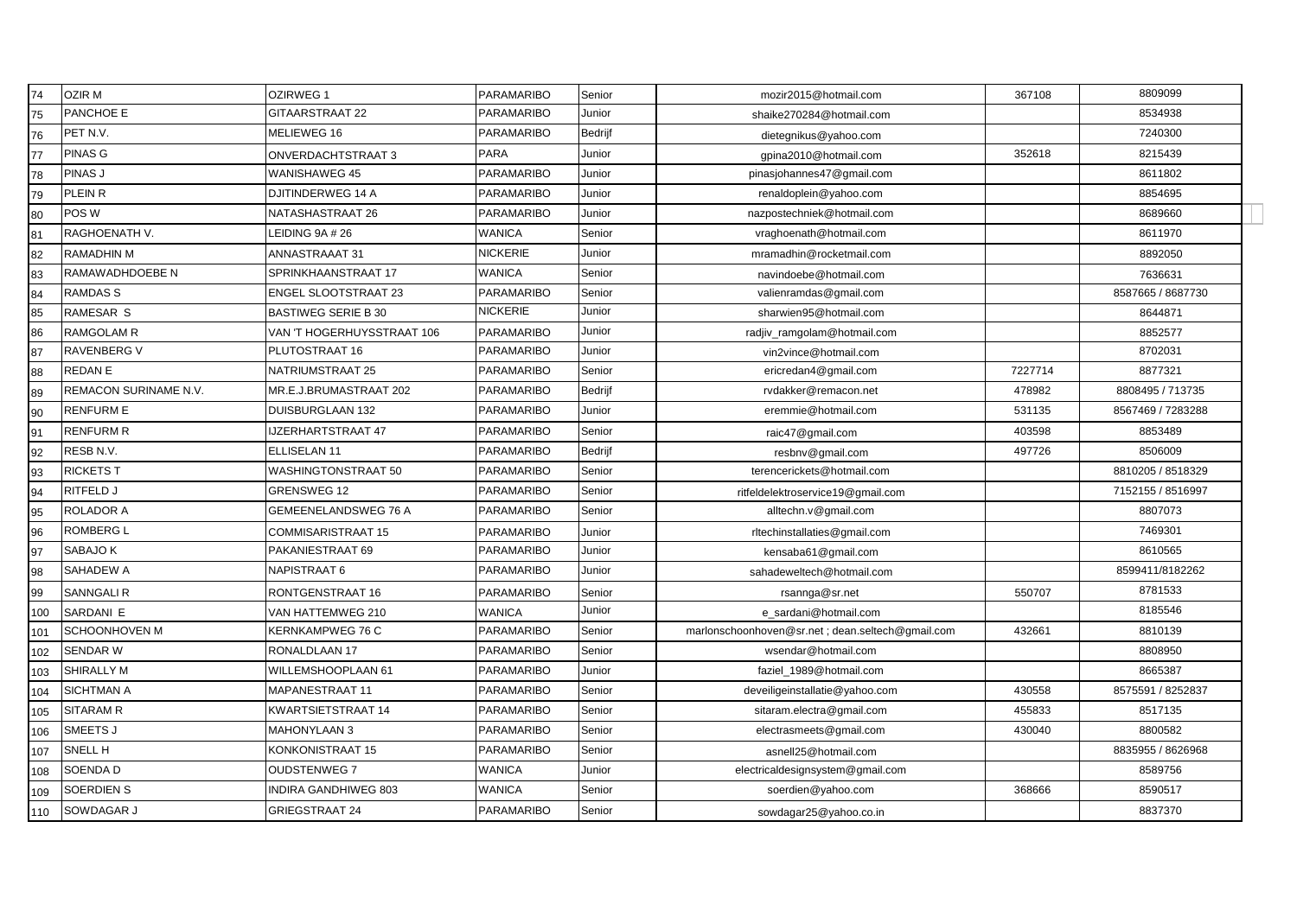| 74  | <b>OZIR M</b>         | OZIRWEG 1                   | PARAMARIBO        | Senior         | mozir2015@hotmail.com                            | 367108  | 8809099           |
|-----|-----------------------|-----------------------------|-------------------|----------------|--------------------------------------------------|---------|-------------------|
| 75  | PANCHOE E             | <b>GITAARSTRAAT 22</b>      | PARAMARIBO        | Junior         | shaike270284@hotmail.com                         |         | 8534938           |
| 76  | PET N.V.              | MELIEWEG 16                 | PARAMARIBO        | <b>Bedrijf</b> | dietegnikus@yahoo.com                            |         | 7240300           |
| 77  | <b>PINAS G</b>        | ONVERDACHTSTRAAT 3          | <b>PARA</b>       | Junior         | qpina2010@hotmail.com                            | 352618  | 8215439           |
| 78  | PINAS J               | WANISHAWEG 45               | PARAMARIBO        | Junior         | pinasjohannes47@gmail.com                        |         | 8611802           |
| 79  | PLEIN R               | DJITINDERWEG 14 A           | PARAMARIBO        | Junior         | renaldoplein@yahoo.com                           |         | 8854695           |
| 80  | POS W                 | NATASHASTRAAT 26            | PARAMARIBO        | Junior         | nazpostechniek@hotmail.com                       |         | 8689660           |
| 81  | RAGHOENATH V.         | EIDING 9A # 26              | WANICA            | Senior         | vraghoenath@hotmail.com                          |         | 8611970           |
| 82  | <b>RAMADHIN M</b>     | ANNASTRAAAT 31              | <b>NICKERIE</b>   | Junior         | mramadhin@rocketmail.com                         |         | 8892050           |
| 83  | RAMAWADHDOEBE N       | SPRINKHAANSTRAAT 17         | WANICA            | Senior         | navindoebe@hotmail.com                           |         | 7636631           |
| 84  | <b>RAMDASS</b>        | ENGEL SLOOTSTRAAT 23        | PARAMARIBO        | Senior         | valienramdas@gmail.com                           |         | 8587665 / 8687730 |
| 85  | <b>RAMESAR S</b>      | <b>BASTIWEG SERIE B 30</b>  | NICKERIE          | Junior         | sharwien95@hotmail.com                           |         | 8644871           |
| 86  | <b>RAMGOLAM R</b>     | VAN 'T HOGERHUYSSTRAAT 106  | PARAMARIBO        | Junior         | radjiv_ramgolam@hotmail.com                      |         | 8852577           |
| 87  | <b>RAVENBERG V</b>    | PLUTOSTRAAT 16              | PARAMARIBO        | Junior         | vin2vince@hotmail.com                            |         | 8702031           |
| 88  | <b>REDANE</b>         | NATRIUMSTRAAT 25            | PARAMARIBO        | Senior         | ericredan4@gmail.com                             | 7227714 | 8877321           |
| 89  | REMACON SURINAME N.V. | MR.E.J.BRUMASTRAAT 202      | PARAMARIBO        | Bedrijf        | rvdakker@remacon.net                             | 478982  | 8808495 / 713735  |
| 90  | <b>RENFURM E</b>      | DUISBURGLAAN 132            | PARAMARIBO        | Junior         | eremmie@hotmail.com                              | 531135  | 8567469 / 7283288 |
| 91  | <b>RENFURM R</b>      | JZERHARTSTRAAT 47           | PARAMARIBO        | Senior         | raic47@gmail.com                                 | 403598  | 8853489           |
| 92  | RESB N.V.             | ELLISELAN 11                | PARAMARIBO        | <b>Bedrijf</b> | resbnv@gmail.com                                 | 497726  | 8506009           |
| 93  | <b>RICKETS T</b>      | WASHINGTONSTRAAT 50         | PARAMARIBO        | Senior         | terencerickets@hotmail.com                       |         | 8810205 / 8518329 |
| 94  | RITFELD J             | <b>GRENSWEG 12</b>          | PARAMARIBO        | Senior         | ritfeldelektroservice19@gmail.com                |         | 7152155 / 8516997 |
| 95  | <b>ROLADOR A</b>      | <b>GEMEENELANDSWEG 76 A</b> | <b>PARAMARIBO</b> | Senior         | alltechn.v@gmail.com                             |         | 8807073           |
| 96  | <b>ROMBERG L</b>      | COMMISARISTRAAT 15          | <b>PARAMARIBO</b> | Junior         | rltechinstallaties@gmail.com                     |         | 7469301           |
| 97  | SABAJO K              | PAKANIESTRAAT 69            | PARAMARIBO        | Junior         | kensaba61@gmail.com                              |         | 8610565           |
| 98  | SAHADEW A             | NAPISTRAAT 6                | <b>PARAMARIBO</b> | Junior         | sahadeweltech@hotmail.com                        |         | 8599411/8182262   |
| 99  | <b>SANNGALIR</b>      | RONTGENSTRAAT 16            | <b>PARAMARIBO</b> | Senior         | rsannga@sr.net                                   | 550707  | 8781533           |
| 100 | SARDANI E             | VAN HATTEMWEG 210           | <b>WANICA</b>     | Junior         | e_sardani@hotmail.com                            |         | 8185546           |
| 101 | SCHOONHOVEN M         | KERNKAMPWEG 76 C            | PARAMARIBO        | Senior         | marlonschoonhoven@sr.net; dean.seltech@gmail.com | 432661  | 8810139           |
| 102 | SENDAR W              | RONALDLAAN 17               | <b>PARAMARIBO</b> | Senior         | wsendar@hotmail.com                              |         | 8808950           |
| 103 | SHIRALLY M            | WILLEMSHOOPLAAN 61          | <b>PARAMARIBO</b> | Junior         | faziel_1989@hotmail.com                          |         | 8665387           |
| 104 | <b>SICHTMAN A</b>     | MAPANESTRAAT 11             | <b>PARAMARIBO</b> | Senior         | deveiligeinstallatie@yahoo.com                   | 430558  | 8575591 / 8252837 |
| 105 | <b>SITARAM R</b>      | KWARTSIETSTRAAT 14          | <b>PARAMARIBO</b> | Senior         | sitaram.electra@gmail.com                        | 455833  | 8517135           |
| 106 | SMEETS J              | <b>MAHONYLAAN 3</b>         | PARAMARIBO        | Senior         | electrasmeets@gmail.com                          | 430040  | 8800582           |
| 107 | <b>SNELL H</b>        | KONKONISTRAAT 15            | <b>PARAMARIBO</b> | Senior         | asnell25@hotmail.com                             |         | 8835955 / 8626968 |
| 108 | SOENDA D              | <b>OUDSTENWEG 7</b>         | <b>WANICA</b>     | Junior         | electricaldesignsystem@gmail.com                 |         | 8589756           |
| 109 | SOERDIEN S            | NDIRA GANDHIWEG 803         | WANICA            | Senior         | soerdien@yahoo.com                               | 368666  | 8590517           |
| 110 | SOWDAGAR J            | GRIEGSTRAAT 24              | PARAMARIBO        | Senior         | sowdagar25@yahoo.co.in                           |         | 8837370           |